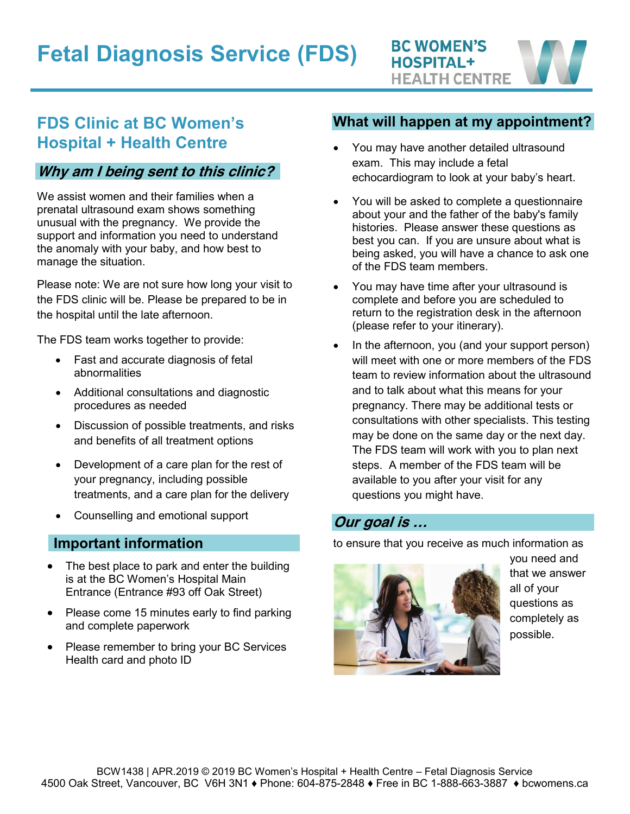

# **FDS Clinic at BC Women's Hospital + Health Centre**

## **Why am I being sent to this clinic?**

We assist women and their families when a prenatal ultrasound exam shows something unusual with the pregnancy. We provide the support and information you need to understand the anomaly with your baby, and how best to manage the situation.

Please note: We are not sure how long your visit to the FDS clinic will be. Please be prepared to be in the hospital until the late afternoon.

The FDS team works together to provide:

- Fast and accurate diagnosis of fetal abnormalities
- Additional consultations and diagnostic procedures as needed
- Discussion of possible treatments, and risks and benefits of all treatment options
- Development of a care plan for the rest of your pregnancy, including possible treatments, and a care plan for the delivery
- Counselling and emotional support

#### **Important information**

- The best place to park and enter the building is at the BC Women's Hospital Main Entrance (Entrance #93 off Oak Street)
- Please come 15 minutes early to find parking and complete paperwork
- Please remember to bring your BC Services Health card and photo ID

#### **What will happen at my appointment?**

- You may have another detailed ultrasound exam. This may include a fetal echocardiogram to look at your baby's heart.
- You will be asked to complete a questionnaire about your and the father of the baby's family histories. Please answer these questions as best you can. If you are unsure about what is being asked, you will have a chance to ask one of the FDS team members.
- You may have time after your ultrasound is complete and before you are scheduled to return to the registration desk in the afternoon (please refer to your itinerary).
- In the afternoon, you (and your support person) will meet with one or more members of the FDS team to review information about the ultrasound and to talk about what this means for your pregnancy. There may be additional tests or consultations with other specialists. This testing may be done on the same day or the next day. The FDS team will work with you to plan next steps. A member of the FDS team will be available to you after your visit for any questions you might have.

### **Our goal is …**

to ensure that you receive as much information as



you need and that we answer all of your questions as completely as possible.